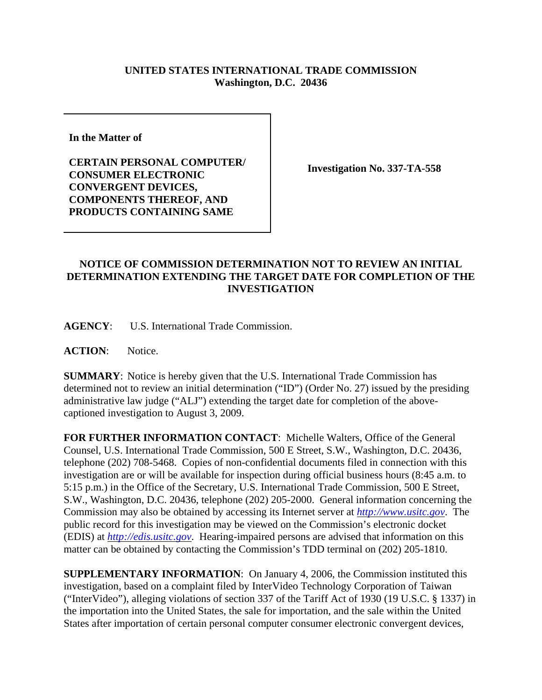## **UNITED STATES INTERNATIONAL TRADE COMMISSION Washington, D.C. 20436**

**In the Matter of** 

**CERTAIN PERSONAL COMPUTER/ CONSUMER ELECTRONIC CONVERGENT DEVICES, COMPONENTS THEREOF, AND PRODUCTS CONTAINING SAME**

**Investigation No. 337-TA-558**

## **NOTICE OF COMMISSION DETERMINATION NOT TO REVIEW AN INITIAL DETERMINATION EXTENDING THE TARGET DATE FOR COMPLETION OF THE INVESTIGATION**

**AGENCY**: U.S. International Trade Commission.

**ACTION**: Notice.

**SUMMARY**: Notice is hereby given that the U.S. International Trade Commission has determined not to review an initial determination ("ID") (Order No. 27) issued by the presiding administrative law judge ("ALJ") extending the target date for completion of the abovecaptioned investigation to August 3, 2009.

**FOR FURTHER INFORMATION CONTACT**: Michelle Walters, Office of the General Counsel, U.S. International Trade Commission, 500 E Street, S.W., Washington, D.C. 20436, telephone (202) 708-5468. Copies of non-confidential documents filed in connection with this investigation are or will be available for inspection during official business hours (8:45 a.m. to 5:15 p.m.) in the Office of the Secretary, U.S. International Trade Commission, 500 E Street, S.W., Washington, D.C. 20436, telephone (202) 205-2000. General information concerning the Commission may also be obtained by accessing its Internet server at *http://www.usitc.gov*. The public record for this investigation may be viewed on the Commission's electronic docket (EDIS) at *http://edis.usitc.gov*. Hearing-impaired persons are advised that information on this matter can be obtained by contacting the Commission's TDD terminal on (202) 205-1810.

**SUPPLEMENTARY INFORMATION**: On January 4, 2006, the Commission instituted this investigation, based on a complaint filed by InterVideo Technology Corporation of Taiwan ("InterVideo"), alleging violations of section 337 of the Tariff Act of 1930 (19 U.S.C. § 1337) in the importation into the United States, the sale for importation, and the sale within the United States after importation of certain personal computer consumer electronic convergent devices,